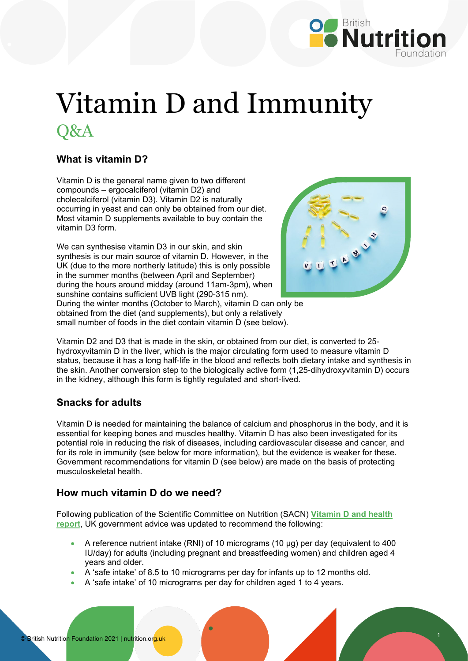

# Vitamin D and Immunity Q&A

## **What is vitamin D?**

Vitamin D is the general name given to two different compounds – ergocalciferol (vitamin D2) and cholecalciferol (vitamin D3). Vitamin D2 is naturally occurring in yeast and can only be obtained from our diet. Most vitamin D supplements available to buy contain the vitamin D3 form.

We can synthesise vitamin D3 in our skin, and skin synthesis is our main source of vitamin D. However, in the UK (due to the more northerly latitude) this is only possible in the summer months (between April and September) during the hours around midday (around 11am-3pm), when sunshine contains sufficient UVB light (290-315 nm).



During the winter months (October to March), vitamin D can only be obtained from the diet (and supplements), but only a relatively small number of foods in the diet contain vitamin D (see below).

Vitamin D2 and D3 that is made in the skin, or obtained from our diet, is converted to 25 hydroxyvitamin D in the liver, which is the major circulating form used to measure vitamin D status, because it has a long half-life in the blood and reflects both dietary intake and synthesis in the skin. Another conversion step to the biologically active form (1,25-dihydroxyvitamin D) occurs in the kidney, although this form is tightly regulated and short-lived.

#### **Snacks for adults**

Vitamin D is needed for maintaining the balance of calcium and phosphorus in the body, and it is essential for keeping bones and muscles healthy. Vitamin D has also been investigated for its potential role in reducing the risk of diseases, including cardiovascular disease and cancer, and for its role in immunity (see below for more information), but the evidence is weaker for these. Government recommendations for vitamin D (see below) are made on the basis of protecting musculoskeletal health.

#### **How much vitamin D do we need?**

Following publication of the Scientific Committee on Nutrition (SACN) **[Vitamin D and health](https://www.gov.uk/government/publications/sacn-vitamin-d-and-health-report)  [report](https://www.gov.uk/government/publications/sacn-vitamin-d-and-health-report)**, UK government advice was updated to recommend the following:

- A reference nutrient intake (RNI) of 10 micrograms (10 μg) per day (equivalent to 400 IU/day) for adults (including pregnant and breastfeeding women) and children aged 4 years and older.
- A 'safe intake' of 8.5 to 10 micrograms per day for infants up to 12 months old.
- A 'safe intake' of 10 micrograms per day for children aged 1 to 4 years.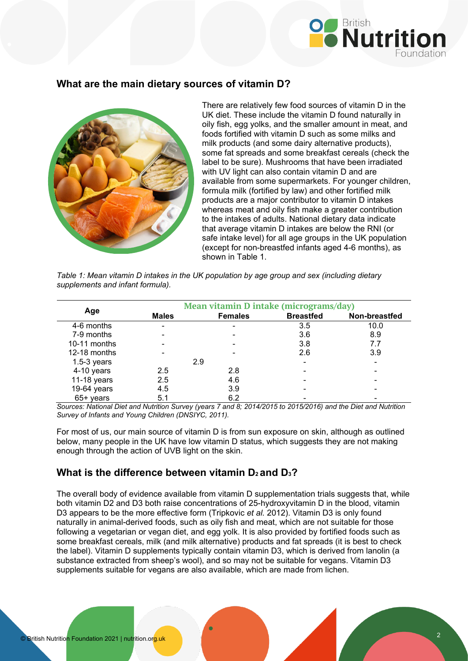

#### **What are the main dietary sources of vitamin D?**



There are relatively few food sources of vitamin D in the UK diet. These include the vitamin D found naturally in oily fish, egg yolks, and the smaller amount in meat, and foods fortified with vitamin D such as some milks and milk products (and some dairy alternative products), some fat spreads and some breakfast cereals (check the label to be sure). Mushrooms that have been irradiated with UV light can also contain vitamin D and are available from some supermarkets. For younger children, formula milk (fortified by law) and other fortified milk products are a major contributor to vitamin D intakes whereas meat and oily fish make a greater contribution to the intakes of adults. National dietary data indicate that average vitamin D intakes are below the RNI (or safe intake level) for all age groups in the UK population (except for non-breastfed infants aged 4-6 months), as shown in Table 1.

*Table 1: Mean vitamin D intakes in the UK population by age group and sex (including dietary supplements and infant formula).*

| Age           | Mean vitamin D intake (micrograms/day) |                |                  |               |
|---------------|----------------------------------------|----------------|------------------|---------------|
|               | <b>Males</b>                           | <b>Females</b> | <b>Breastfed</b> | Non-breastfed |
| 4-6 months    | ۰                                      |                | 3.5              | 10.0          |
| 7-9 months    |                                        |                | 3.6              | 8.9           |
| 10-11 months  |                                        | $\blacksquare$ | 3.8              | 7.7           |
| 12-18 months  |                                        |                | 2.6              | 3.9           |
| $1.5-3$ years | 2.9                                    |                | $\blacksquare$   |               |
| 4-10 years    | 2.5                                    | 2.8            |                  |               |
| 11-18 years   | 2.5                                    | 4.6            |                  |               |
| 19-64 years   | 4.5                                    | 3.9            |                  |               |
| $65+$ years   | 5.1                                    | 6.2            |                  |               |

*Sources: National Diet and Nutrition Survey (years 7 and 8; 2014/2015 to 2015/2016) and the Diet and Nutrition Survey of Infants and Young Children (DNSIYC, 2011).*

For most of us, our main source of vitamin D is from sun exposure on skin, although as outlined below, many people in the UK have low vitamin D status, which suggests they are not making enough through the action of UVB light on the skin.

#### **What is the difference between vitamin D<sub>2</sub> and D<sub>3</sub>?**

The overall body of evidence available from vitamin D supplementation trials suggests that, while both vitamin D2 and D3 both raise concentrations of 25-hydroxyvitamin D in the blood, vitamin D3 appears to be the more effective form (Tripkovic *et al.* 2012). Vitamin D3 is only found naturally in animal-derived foods, such as oily fish and meat, which are not suitable for those following a vegetarian or vegan diet, and egg yolk. It is also provided by fortified foods such as some breakfast cereals, milk (and milk alternative) products and fat spreads (it is best to check the label). Vitamin D supplements typically contain vitamin D3, which is derived from lanolin (a substance extracted from sheep's wool), and so may not be suitable for vegans. Vitamin D3 supplements suitable for vegans are also available, which are made from lichen.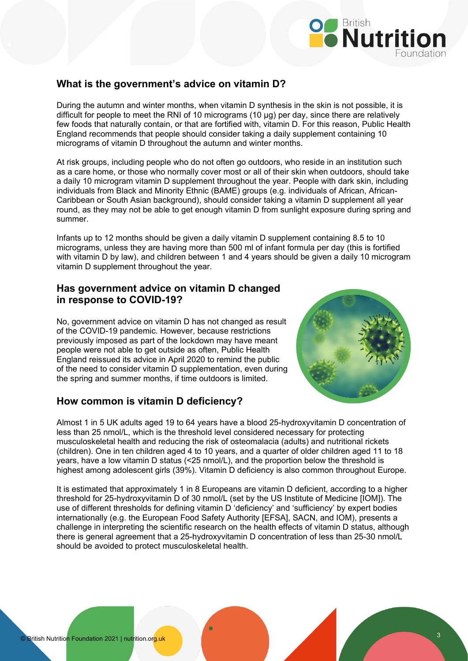

## **What is the government's advice on vitamin D?**

During the autumn and winter months, when vitamin D synthesis in the skin is not possible, it is difficult for people to meet the RNI of 10 micrograms (10 μg) per day, since there are relatively few foods that naturally contain, or that are fortified with, vitamin D. For this reason, Public Health England recommends that people should consider taking a daily supplement containing 10 micrograms of vitamin D throughout the autumn and winter months.

At risk groups, including people who do not often go outdoors, who reside in an institution such as a care home, or those who normally cover most or all of their skin when outdoors, should take a daily 10 microgram vitamin D supplement throughout the year. People with dark skin, including individuals from Black and Minority Ethnic (BAME) groups (e.g. individuals of African, African-Caribbean or South Asian background), should consider taking a vitamin D supplement all year round, as they may not be able to get enough vitamin D from sunlight exposure during spring and summer.

Infants up to 12 months should be given a daily vitamin D supplement containing 8.5 to 10 micrograms, unless they are having more than 500 ml of infant formula per day (this is fortified with vitamin D by law), and children between 1 and 4 years should be given a daily 10 microgram vitamin D supplement throughout the year.

#### **Has government advice on vitamin D changed in response to COVID-19?**

No, government advice on vitamin D has not changed as result of the COVID-19 pandemic. However, because restrictions previously imposed as part of the lockdown may have meant people were not able to get outside as often, Public Health England reissued its advice in April 2020 to remind the public of the need to consider vitamin D supplementation, even during the spring and summer months, if time outdoors is limited.

#### **How common is vitamin D deficiency?**



Almost 1 in 5 UK adults aged 19 to 64 years have a blood 25-hydroxyvitamin D concentration of less than 25 nmol/L, which is the threshold level considered necessary for protecting musculoskeletal health and reducing the risk of osteomalacia (adults) and nutritional rickets (children). One in ten children aged 4 to 10 years, and a quarter of older children aged 11 to 18 years, have a low vitamin D status (<25 nmol/L), and the proportion below the threshold is highest among adolescent girls (39%). Vitamin D deficiency is also common throughout Europe.

It is estimated that approximately 1 in 8 Europeans are vitamin D deficient, according to a higher threshold for 25-hydroxyvitamin D of 30 nmol/L (set by the US Institute of Medicine [IOM]). The use of different thresholds for defining vitamin D 'deficiency' and 'sufficiency' by expert bodies internationally (e.g. the European Food Safety Authority [EFSA], SACN, and IOM), presents a challenge in interpreting the scientific research on the health effects of vitamin D status, although there is general agreement that a 25-hydroxyvitamin D concentration of less than 25-30 nmol/L should be avoided to protect musculoskeletal health.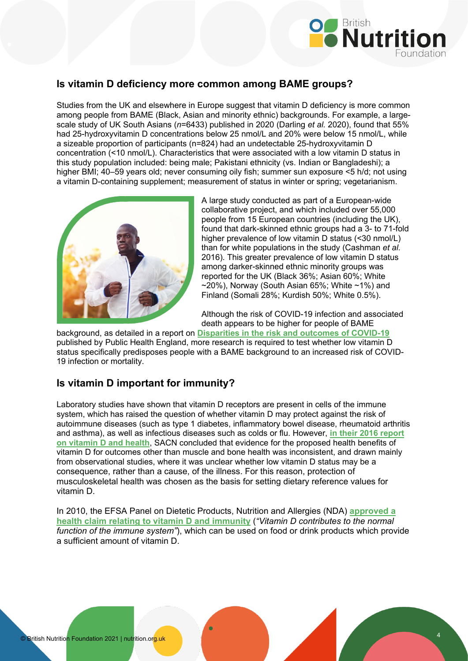

## **Is vitamin D deficiency more common among BAME groups?**

Studies from the UK and elsewhere in Europe suggest that vitamin D deficiency is more common among people from BAME (Black, Asian and minority ethnic) backgrounds. For example, a largescale study of UK South Asians (*n*=6433) published in 2020 (Darling *et al.* 2020), found that 55% had 25-hydroxyvitamin D concentrations below 25 nmol/L and 20% were below 15 nmol/L, while a sizeable proportion of participants (n=824) had an undetectable 25-hydroxyvitamin D concentration (<10 nmol/L). Characteristics that were associated with a low vitamin D status in this study population included: being male; Pakistani ethnicity (vs. Indian or Bangladeshi); a higher BMI; 40–59 years old; never consuming oily fish; summer sun exposure <5 h/d; not using a vitamin D-containing supplement; measurement of status in winter or spring; vegetarianism.



A large study conducted as part of a European-wide collaborative project, and which included over 55,000 people from 15 European countries (including the UK), found that dark-skinned ethnic groups had a 3- to 71-fold higher prevalence of low vitamin D status (<30 nmol/L) than for white populations in the study (Cashman *et al.*  2016). This greater prevalence of low vitamin D status among darker-skinned ethnic minority groups was reported for the UK (Black 36%; Asian 60%; White  $\sim$ 20%), Norway (South Asian 65%; White  $\sim$ 1%) and Finland (Somali 28%; Kurdish 50%; White 0.5%).

Although the risk of COVID-19 infection and associated death appears to be higher for people of BAME

background, as detailed in a report on **[Disparities in the risk and outcomes of COVID-19](https://www.gov.uk/government/publications/covid-19-review-of-disparities-in-risks-and-outcomes)** published by Public Health England, more research is required to test whether low vitamin D status specifically predisposes people with a BAME background to an increased risk of COVID-19 infection or mortality.

#### **Is vitamin D important for immunity?**

Laboratory studies have shown that vitamin D receptors are present in cells of the immune system, which has raised the question of whether vitamin D may protect against the risk of autoimmune diseases (such as type 1 diabetes, inflammatory bowel disease, rheumatoid arthritis and asthma), as well as infectious diseases such as colds or flu. However, **[in their 2016 report](https://www.gov.uk/government/publications/sacn-vitamin-d-and-health-report)  [on vitamin D and health](https://www.gov.uk/government/publications/sacn-vitamin-d-and-health-report)**, SACN concluded that evidence for the proposed health benefits of vitamin D for outcomes other than muscle and bone health was inconsistent, and drawn mainly from observational studies, where it was unclear whether low vitamin D status may be a consequence, rather than a cause, of the illness. For this reason, protection of musculoskeletal health was chosen as the basis for setting dietary reference values for vitamin D.

In 2010, the EFSA Panel on Dietetic Products, Nutrition and Allergies (NDA) **[approved a](https://www.efsa.europa.eu/en/efsajournal/pub/1468)  [health claim relating to vitamin D and immunity](https://www.efsa.europa.eu/en/efsajournal/pub/1468)** (*"Vitamin D contributes to the normal function of the immune system"*), which can be used on food or drink products which provide a sufficient amount of vitamin D.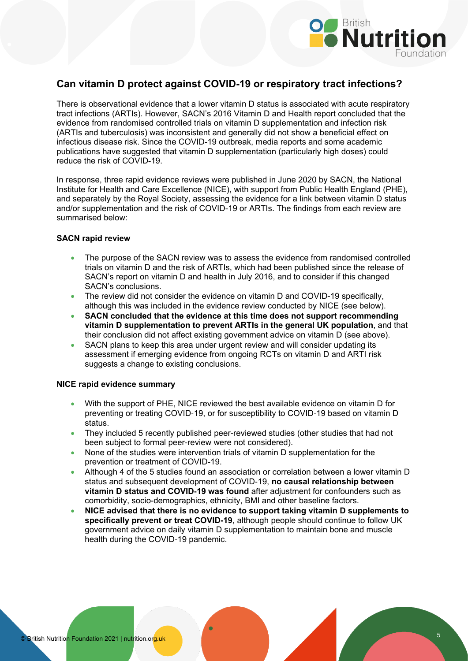

#### **Can vitamin D protect against COVID-19 or respiratory tract infections?**

There is observational evidence that a lower vitamin D status is associated with acute respiratory tract infections (ARTIs). However, SACN's 2016 Vitamin D and Health report concluded that the evidence from randomised controlled trials on vitamin D supplementation and infection risk (ARTIs and tuberculosis) was inconsistent and generally did not show a beneficial effect on infectious disease risk. Since the COVID-19 outbreak, media reports and some academic publications have suggested that vitamin D supplementation (particularly high doses) could reduce the risk of COVID-19.

In response, three rapid evidence reviews were published in June 2020 by SACN, the National Institute for Health and Care Excellence (NICE), with support from Public Health England (PHE), and separately by the Royal Society, assessing the evidence for a link between vitamin D status and/or supplementation and the risk of COVID-19 or ARTIs. The findings from each review are summarised below:

#### **SACN rapid review**

- The purpose of the SACN review was to assess the evidence from randomised controlled trials on vitamin D and the risk of ARTIs, which had been published since the release of SACN's report on vitamin D and health in July 2016, and to consider if this changed SACN's conclusions.
- The review did not consider the evidence on vitamin D and COVID-19 specifically, although this was included in the evidence review conducted by NICE (see below).
- **SACN concluded that the evidence at this time does not support recommending vitamin D supplementation to prevent ARTIs in the general UK population**, and that their conclusion did not affect existing government advice on vitamin D (see above).
- SACN plans to keep this area under urgent review and will consider updating its assessment if emerging evidence from ongoing RCTs on vitamin D and ARTI risk suggests a change to existing conclusions.

#### **NICE rapid evidence summary**

- With the support of PHE, NICE reviewed the best available evidence on vitamin D for preventing or treating COVID-19, or for susceptibility to COVID-19 based on vitamin D status.
- They included 5 recently published peer-reviewed studies (other studies that had not been subject to formal peer-review were not considered).
- None of the studies were intervention trials of vitamin D supplementation for the prevention or treatment of COVID-19.
- Although 4 of the 5 studies found an association or correlation between a lower vitamin D status and subsequent development of COVID‑19, **no causal relationship between vitamin D status and COVID**‑**19 was found** after adjustment for confounders such as comorbidity, socio-demographics, ethnicity, BMI and other baseline factors.
- **NICE advised that there is no evidence to support taking vitamin D supplements to specifically prevent or treat COVID-19**, although people should continue to follow UK government advice on daily vitamin D supplementation to maintain bone and muscle health during the COVID-19 pandemic.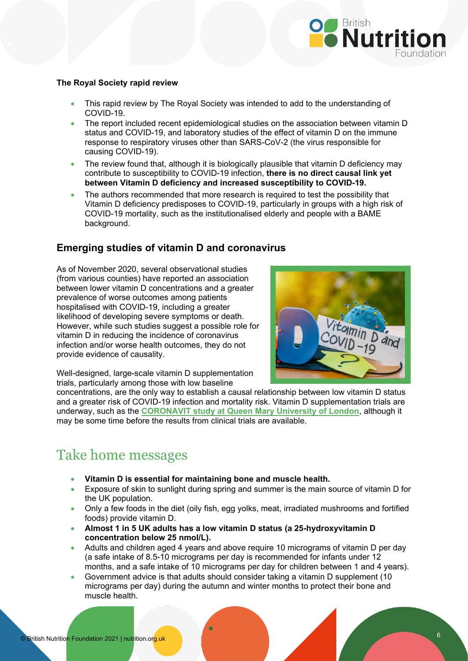

#### **The Royal Society rapid review**

- This rapid review by The Royal Society was intended to add to the understanding of COVID-19.
- The report included recent epidemiological studies on the association between vitamin D status and COVID-19, and laboratory studies of the effect of vitamin D on the immune response to respiratory viruses other than SARS-CoV-2 (the virus responsible for causing COVID-19).
- The review found that, although it is biologically plausible that vitamin D deficiency may contribute to susceptibility to COVID-19 infection, **there is no direct causal link yet between Vitamin D deficiency and increased susceptibility to COVID-19.**
- The authors recommended that more research is required to test the possibility that Vitamin D deficiency predisposes to COVID-19, particularly in groups with a high risk of COVID-19 mortality, such as the institutionalised elderly and people with a BAME background.

#### **Emerging studies of vitamin D and coronavirus**

As of November 2020, several observational studies (from various counties) have reported an association between lower vitamin D concentrations and a greater prevalence of worse outcomes among patients hospitalised with COVID-19, including a greater likelihood of developing severe symptoms or death. However, while such studies suggest a possible role for vitamin D in reducing the incidence of coronavirus infection and/or worse health outcomes, they do not provide evidence of causality.



Well-designed, large-scale vitamin D supplementation trials, particularly among those with low baseline

concentrations, are the only way to establish a causal relationship between low vitamin D status and a greater risk of COVID-19 infection and mortality risk. Vitamin D supplementation trials are underway, such as the **[CORONAVIT study at Queen Mary University of London](https://www.qmul.ac.uk/media/news/2020/smd/clinical-trial-to-investigate-whether-vitamin-d-protects-against-covid-19.html)**, although it may be some time before the results from clinical trials are available.

## Take home messages

- **Vitamin D is essential for maintaining bone and muscle health.**
- Exposure of skin to sunlight during spring and summer is the main source of vitamin D for the UK population.
- Only a few foods in the diet (oily fish, egg yolks, meat, irradiated mushrooms and fortified foods) provide vitamin D.
- **Almost 1 in 5 UK adults has a low vitamin D status (a 25-hydroxyvitamin D concentration below 25 nmol/L).**
- Adults and children aged 4 years and above require 10 micrograms of vitamin D per day (a safe intake of 8.5-10 micrograms per day is recommended for infants under 12 months, and a safe intake of 10 micrograms per day for children between 1 and 4 years).
- Government advice is that adults should consider taking a vitamin D supplement (10 micrograms per day) during the autumn and winter months to protect their bone and muscle health.